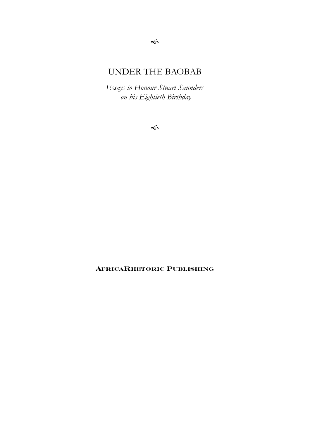# UNDER THE BAOBAB

*Essays to Honour Stuart Saunders on his Eightieth Birthday*

 $\leqslant$ 

**AFRICARHETORIC PUBLISHING**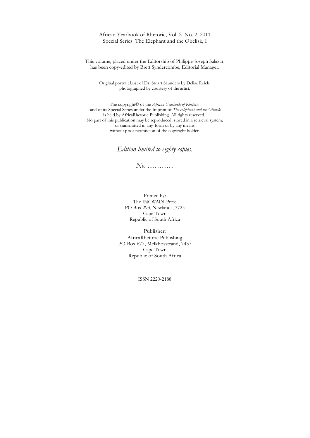African Yearbook of Rhetoric, Vol. 2 No. 2, 2011 Special Series: The Elephant and the Obelisk, I

This volume, placed under the Editorship of Philippe-Joseph Salazar, has been copy-edited by Brett Syndercombe, Editorial Manager.

Original portrait bust of Dr. Stuart Saunders by Delise Reich, photographed by courtesy of the artist.

The copyright© of the *African Yearbook of Rhetoric* and of its Special Series under the Imprint of *The Elephant and the Obelisk* is held by AfricaRhetoric Publishing. All rights reserved. No part of this publication may be reproduced, stored in a retrieval system, or transmitted in any form or by any means without prior permission of the copyright holder.

*Edition limited to eighty copies.*

*No. ……………*

Printed by: The INCWADI Press PO Box 293, Newlands, 7725 Cape Town Republic of South Africa

Publisher: AfricaRhetoric Publishing PO Box 677, Melkbosstrand, 7437 Cape Town Republic of South Africa

ISSN 2220-2188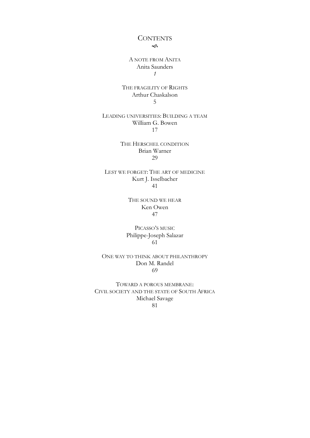# **CONTENTS**  $\leqslant$

## A NOTE FROM ANITA Anita Saunders *1*

#### THE FRAGILITY OF RIGHTS Arthur Chaskalson 5

### LEADING UNIVERSITIES: BUILDING A TEAM William G. Bowen 17

#### THE HERSCHEL CONDITION Brian Warner 29

LEST WE FORGET: THE ART OF MEDICINE Kurt J. Isselbacher 41

> THE SOUND WE HEAR Ken Owen 47

PICASSO'S MUSIC Philippe-Joseph Salazar 61

ONE WAY TO THINK ABOUT PHILANTHROPY Don M. Randel 69

TOWARD A POROUS MEMBRANE: CIVIL SOCIETY AND THE STATE OF SOUTH AFRICA Michael Savage 81